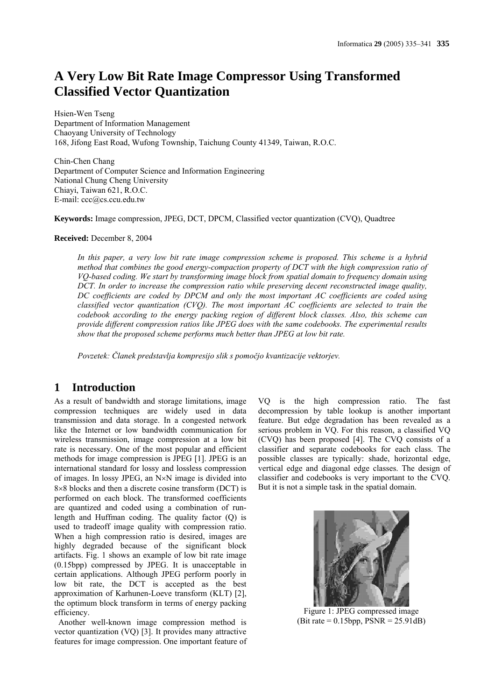# **A Very Low Bit Rate Image Compressor Using Transformed Classified Vector Quantization**

Hsien-Wen Tseng Department of Information Management Chaoyang University of Technology 168, Jifong East Road, Wufong Township, Taichung County 41349, Taiwan, R.O.C.

Chin-Chen Chang Department of Computer Science and Information Engineering National Chung Cheng University Chiayi, Taiwan 621, R.O.C. E-mail: ccc@cs.ccu.edu.tw

**Keywords:** Image compression, JPEG, DCT, DPCM, Classified vector quantization (CVQ), Quadtree

#### **Received:** December 8, 2004

*In this paper, a very low bit rate image compression scheme is proposed. This scheme is a hybrid method that combines the good energy-compaction property of DCT with the high compression ratio of VQ-based coding. We start by transforming image block from spatial domain to frequency domain using DCT. In order to increase the compression ratio while preserving decent reconstructed image quality, DC coefficients are coded by DPCM and only the most important AC coefficients are coded using classified vector quantization (CVQ). The most important AC coefficients are selected to train the codebook according to the energy packing region of different block classes. Also, this scheme can provide different compression ratios like JPEG does with the same codebooks. The experimental results show that the proposed scheme performs much better than JPEG at low bit rate.* 

*Povzetek: Članek predstavlja kompresijo slik s pomočjo kvantizacije vektorjev.* 

## **1 Introduction**

As a result of bandwidth and storage limitations, image compression techniques are widely used in data transmission and data storage. In a congested network like the Internet or low bandwidth communication for wireless transmission, image compression at a low bit rate is necessary. One of the most popular and efficient methods for image compression is JPEG [1]. JPEG is an international standard for lossy and lossless compression of images. In lossy JPEG, an N×N image is divided into 8×8 blocks and then a discrete cosine transform (DCT) is performed on each block. The transformed coefficients are quantized and coded using a combination of runlength and Huffman coding. The quality factor (Q) is used to tradeoff image quality with compression ratio. When a high compression ratio is desired, images are highly degraded because of the significant block artifacts. Fig. 1 shows an example of low bit rate image (0.15bpp) compressed by JPEG. It is unacceptable in certain applications. Although JPEG perform poorly in low bit rate, the DCT is accepted as the best approximation of Karhunen-Loeve transform (KLT) [2], the optimum block transform in terms of energy packing efficiency.

 Another well-known image compression method is vector quantization (VQ) [3]. It provides many attractive features for image compression. One important feature of VQ is the high compression ratio. The fast decompression by table lookup is another important feature. But edge degradation has been revealed as a serious problem in VQ. For this reason, a classified VQ (CVQ) has been proposed [4]. The CVQ consists of a classifier and separate codebooks for each class. The possible classes are typically: shade, horizontal edge, vertical edge and diagonal edge classes. The design of classifier and codebooks is very important to the CVQ. But it is not a simple task in the spatial domain.



Figure 1: JPEG compressed image  $(Bit rate = 0.15bpp, PSNR = 25.91dB)$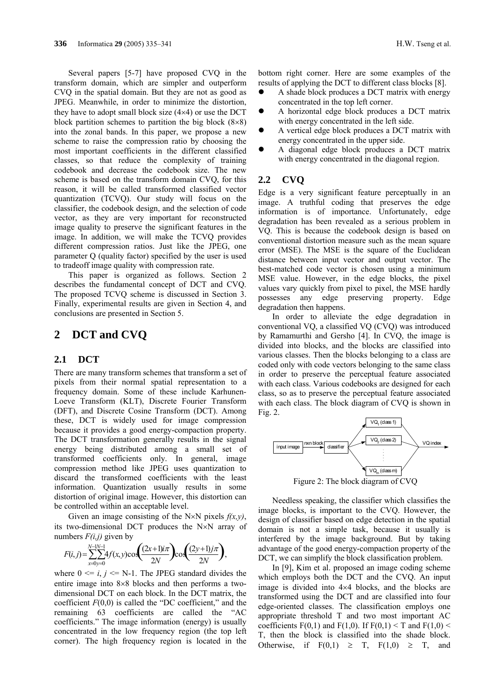Several papers [5-7] have proposed CVQ in the transform domain, which are simpler and outperform CVQ in the spatial domain. But they are not as good as JPEG. Meanwhile, in order to minimize the distortion, they have to adopt small block size  $(4\times4)$  or use the DCT block partition schemes to partition the big block  $(8\times8)$ into the zonal bands. In this paper, we propose a new scheme to raise the compression ratio by choosing the most important coefficients in the different classified classes, so that reduce the complexity of training codebook and decrease the codebook size. The new scheme is based on the transform domain CVQ, for this reason, it will be called transformed classified vector quantization (TCVQ). Our study will focus on the classifier, the codebook design, and the selection of code vector, as they are very important for reconstructed image quality to preserve the significant features in the image. In addition, we will make the TCVQ provides different compression ratios. Just like the JPEG, one parameter Q (quality factor) specified by the user is used to tradeoff image quality with compression rate.

This paper is organized as follows. Section 2 describes the fundamental concept of DCT and CVQ. The proposed TCVQ scheme is discussed in Section 3. Finally, experimental results are given in Section 4, and conclusions are presented in Section 5.

### **2 DCT and CVQ**

#### **2.1 DCT**

There are many transform schemes that transform a set of pixels from their normal spatial representation to a frequency domain. Some of these include Karhunen-Loeve Transform (KLT), Discrete Fourier Transform (DFT), and Discrete Cosine Transform (DCT). Among these, DCT is widely used for image compression because it provides a good energy-compaction property. The DCT transformation generally results in the signal energy being distributed among a small set of transformed coefficients only. In general, image compression method like JPEG uses quantization to discard the transformed coefficients with the least information. Quantization usually results in some distortion of original image. However, this distortion can be controlled within an acceptable level.

Given an image consisting of the N×N pixels *f(x,y)*, its two-dimensional DCT produces the N×N array of numbers  $F(i,j)$  given by

$$
F(i,j) = \sum_{x=0}^{N-1N-1} 4f(x,y) \cos\left(\frac{(2x+1)i\pi}{2N}\right) \cos\left(\frac{(2y+1)j\pi}{2N}\right),
$$

where  $0 \le i, j \le N-1$ . The JPEG standard divides the entire image into 8×8 blocks and then performs a twodimensional DCT on each block. In the DCT matrix, the coefficient  $F(0,0)$  is called the "DC coefficient," and the remaining 63 coefficients are called the "AC coefficients." The image information (energy) is usually concentrated in the low frequency region (the top left corner). The high frequency region is located in the bottom right corner. Here are some examples of the results of applying the DCT to different class blocks [8].

- A shade block produces a DCT matrix with energy concentrated in the top left corner.
- A horizontal edge block produces a DCT matrix with energy concentrated in the left side.
- A vertical edge block produces a DCT matrix with energy concentrated in the upper side.
- A diagonal edge block produces a DCT matrix with energy concentrated in the diagonal region.

### **2.2 CVQ**

Edge is a very significant feature perceptually in an image. A truthful coding that preserves the edge information is of importance. Unfortunately, edge degradation has been revealed as a serious problem in VQ. This is because the codebook design is based on conventional distortion measure such as the mean square error (MSE). The MSE is the square of the Euclidean distance between input vector and output vector. The best-matched code vector is chosen using a minimum MSE value. However, in the edge blocks, the pixel values vary quickly from pixel to pixel, the MSE hardly possesses any edge preserving property. Edge degradation then happens.

In order to alleviate the edge degradation in conventional VQ, a classified VQ (CVQ) was introduced by Ramamurthi and Gersho [4]. In CVQ, the image is divided into blocks, and the blocks are classified into various classes. Then the blocks belonging to a class are coded only with code vectors belonging to the same class in order to preserve the perceptual feature associated with each class. Various codebooks are designed for each class, so as to preserve the perceptual feature associated with each class. The block diagram of CVQ is shown in Fig. 2.



Figure 2: The block diagram of CVQ

Needless speaking, the classifier which classifies the image blocks, is important to the CVQ. However, the design of classifier based on edge detection in the spatial domain is not a simple task, because it usually is interfered by the image background. But by taking advantage of the good energy-compaction property of the DCT, we can simplify the block classification problem.

In [9], Kim et al. proposed an image coding scheme which employs both the DCT and the CVQ. An input image is divided into 4×4 blocks, and the blocks are transformed using the DCT and are classified into four edge-oriented classes. The classification employs one appropriate threshold T and two most important AC coefficients  $F(0,1)$  and  $F(1,0)$ . If  $F(0,1) < T$  and  $F(1,0) <$ T, then the block is classified into the shade block. Otherwise, if  $F(0,1) \geq T$ ,  $F(1,0) \geq T$ , and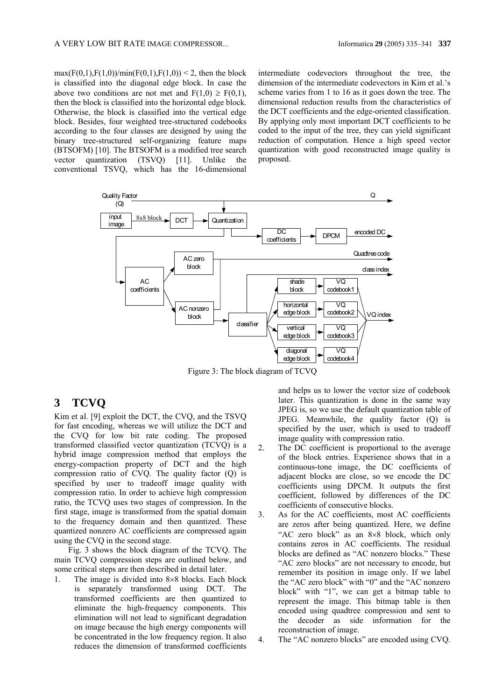$max(F(0,1),F(1,0))/min(F(0,1),F(1,0)) < 2$ , then the block is classified into the diagonal edge block. In case the above two conditions are not met and  $F(1,0) \geq F(0,1)$ , then the block is classified into the horizontal edge block. Otherwise, the block is classified into the vertical edge block. Besides, four weighted tree-structured codebooks according to the four classes are designed by using the binary tree-structured self-organizing feature maps (BTSOFM) [10]. The BTSOFM is a modified tree search vector quantization (TSVQ) [11]. Unlike the conventional TSVQ, which has the 16-dimensional

intermediate codevectors throughout the tree, the dimension of the intermediate codevectors in Kim et al.'s scheme varies from 1 to 16 as it goes down the tree. The dimensional reduction results from the characteristics of the DCT coefficients and the edge-oriented classification. By applying only most important DCT coefficients to be coded to the input of the tree, they can yield significant reduction of computation. Hence a high speed vector quantization with good reconstructed image quality is proposed.



Figure 3: The block diagram of TCVQ

# **3 TCVQ**

Kim et al. [9] exploit the DCT, the CVQ, and the TSVQ for fast encoding, whereas we will utilize the DCT and the CVQ for low bit rate coding. The proposed transformed classified vector quantization (TCVQ) is a hybrid image compression method that employs the energy-compaction property of DCT and the high compression ratio of CVQ. The quality factor (Q) is specified by user to tradeoff image quality with compression ratio. In order to achieve high compression ratio, the TCVQ uses two stages of compression. In the first stage, image is transformed from the spatial domain to the frequency domain and then quantized. These quantized nonzero AC coefficients are compressed again using the CVQ in the second stage.

Fig. 3 shows the block diagram of the TCVQ. The main TCVQ compression steps are outlined below, and some critical steps are then described in detail later.

1. The image is divided into 8×8 blocks. Each block is separately transformed using DCT. The transformed coefficients are then quantized to eliminate the high-frequency components. This elimination will not lead to significant degradation on image because the high energy components will be concentrated in the low frequency region. It also reduces the dimension of transformed coefficients

and helps us to lower the vector size of codebook later. This quantization is done in the same way JPEG is, so we use the default quantization table of JPEG. Meanwhile, the quality factor (Q) is specified by the user, which is used to tradeoff image quality with compression ratio.

- 2. The DC coefficient is proportional to the average of the block entries. Experience shows that in a continuous-tone image, the DC coefficients of adjacent blocks are close, so we encode the DC coefficients using DPCM. It outputs the first coefficient, followed by differences of the DC coefficients of consecutive blocks.
- 3. As for the AC coefficients, most AC coefficients are zeros after being quantized. Here, we define "AC zero block" as an 8×8 block, which only contains zeros in AC coefficients. The residual blocks are defined as "AC nonzero blocks." These "AC zero blocks" are not necessary to encode, but remember its position in image only. If we label the "AC zero block" with "0" and the "AC nonzero block" with "1", we can get a bitmap table to represent the image. This bitmap table is then encoded using quadtree compression and sent to the decoder as side information for the reconstruction of image.
- 4. The "AC nonzero blocks" are encoded using CVQ.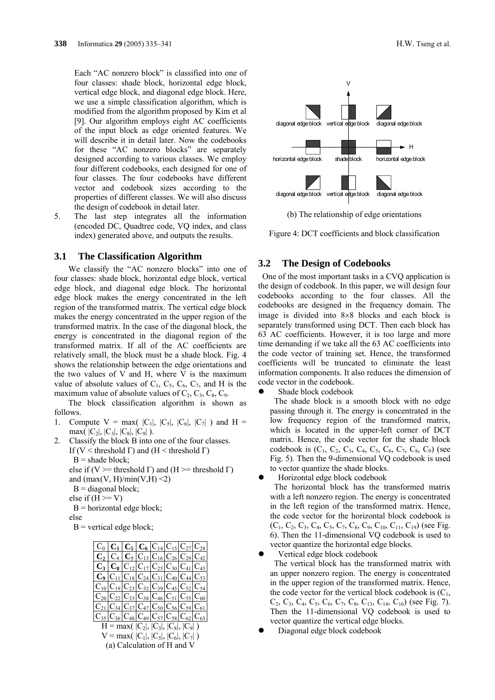Each "AC nonzero block" is classified into one of four classes: shade block, horizontal edge block, vertical edge block, and diagonal edge block. Here, we use a simple classification algorithm, which is modified from the algorithm proposed by Kim et al [9]. Our algorithm employs eight AC coefficients of the input block as edge oriented features. We will describe it in detail later. Now the codebooks for these "AC nonzero blocks" are separately designed according to various classes. We employ four different codebooks, each designed for one of four classes. The four codebooks have different vector and codebook sizes according to the properties of different classes. We will also discuss the design of codebook in detail later.

5. The last step integrates all the information (encoded DC, Quadtree code, VQ index, and class index) generated above, and outputs the results.

#### **3.1 The Classification Algorithm**

We classify the "AC nonzero blocks" into one of four classes: shade block, horizontal edge block, vertical edge block, and diagonal edge block. The horizontal edge block makes the energy concentrated in the left region of the transformed matrix. The vertical edge block makes the energy concentrated in the upper region of the transformed matrix. In the case of the diagonal block, the energy is concentrated in the diagonal region of the transformed matrix. If all of the AC coefficients are relatively small, the block must be a shade block. Fig. 4 shows the relationship between the edge orientations and the two values of V and H, where V is the maximum value of absolute values of  $C_1$ ,  $C_5$ ,  $C_6$ ,  $C_7$ , and H is the maximum value of absolute values of  $C_2$ ,  $C_3$ ,  $C_8$ ,  $C_9$ .

The block classification algorithm is shown as follows.

- 1. Compute  $V = max(|C_1|, |C_5|, |C_6|, |C_7|)$  and  $H =$ max(  $|C_2|, |C_3|, |C_8|, |C_9|$  ).
- 2. Classify the block B into one of the four classes. If (V < threshold  $\Gamma$ ) and (H < threshold  $\Gamma$ )  $B =$ shade block; else if (V >= threshold Γ) and (H >= threshold Γ) and  $(max(V, H)/min(V, H) \leq 2)$  $B = diagonal block;$ else if  $(H \ge V)$

 $B =$ horizontal edge block;

else

 $B$  = vertical edge block;

|                                                             | $C_0  C_1  C_5  C_6  C_{14}  C_{15}  C_{27}  C_{28}$           |  |  |  |
|-------------------------------------------------------------|----------------------------------------------------------------|--|--|--|
|                                                             | $C_2   C_4   C_7   C_{13}   C_{16}   C_{26}   C_{29}   C_{42}$ |  |  |  |
|                                                             | $C_3  C_8 C_{12} C_{17} C_{25} C_{30} C_{41} C_{43} $          |  |  |  |
|                                                             | $C_9 C_{11} C_{18} C_{24} C_{31} C_{40} C_{44} C_{53} $        |  |  |  |
|                                                             | $C_{10} C_{19} C_{23} C_{32} C_{39} C_{45} C_{52} C_{54} $     |  |  |  |
|                                                             | $C_{20} C_{22} C_{33} C_{38} C_{46} C_{51} C_{55} C_{60}$      |  |  |  |
|                                                             | $C_{21} C_{34} C_{37} C_{47} C_{50} C_{56} C_{59} C_{61} $     |  |  |  |
| $ C_{35} C_{36} C_{48} C_{49} C_{57} C_{58} C_{62} C_{63} $ |                                                                |  |  |  |
|                                                             | $H = max( C_2 ,  C_3 ,  C_8 ,  C_9 )$                          |  |  |  |
|                                                             | $V = max( C_1 ,  C_5 ,  C_6 ,  C_7 )$                          |  |  |  |
|                                                             | (a) Coloulation of $H$ and $V$                                 |  |  |  |





(b) The relationship of edge orientations

Figure 4: DCT coefficients and block classification

### **3.2 The Design of Codebooks**

 One of the most important tasks in a CVQ application is the design of codebook. In this paper, we will design four codebooks according to the four classes. All the codebooks are designed in the frequency domain. The image is divided into 8×8 blocks and each block is separately transformed using DCT. Then each block has 63 AC coefficients. However, it is too large and more time demanding if we take all the 63 AC coefficients into the code vector of training set. Hence, the transformed coefficients will be truncated to eliminate the least information components. It also reduces the dimension of code vector in the codebook.

Shade block codebook

 The shade block is a smooth block with no edge passing through it. The energy is concentrated in the low frequency region of the transformed matrix, which is located in the upper-left corner of DCT matrix. Hence, the code vector for the shade block codebook is  $(C_1, C_2, C_3, C_4, C_5, C_6, C_7, C_8, C_9)$  (see Fig. 5). Then the 9-dimensional VQ codebook is used to vector quantize the shade blocks.

Horizontal edge block codebook

 The horizontal block has the transformed matrix with a left nonzero region. The energy is concentrated in the left region of the transformed matrix. Hence, the code vector for the horizontal block codebook is  $(C_1, C_2, C_3, C_4, C_5, C_7, C_8, C_9, C_{10}, C_{11}, C_{19})$  (see Fig. 6). Then the 11-dimensional VQ codebook is used to vector quantize the horizontal edge blocks.

Vertical edge block codebook

 The vertical block has the transformed matrix with an upper nonzero region. The energy is concentrated in the upper region of the transformed matrix. Hence, the code vector for the vertical block codebook is  $(C_1,$  $C_2$ ,  $C_3$ ,  $C_4$ ,  $C_5$ ,  $C_6$ ,  $C_7$ ,  $C_8$ ,  $C_{13}$ ,  $C_{14}$ ,  $C_{16}$ ) (see Fig. 7). Then the 11-dimensional VQ codebook is used to vector quantize the vertical edge blocks.

Diagonal edge block codebook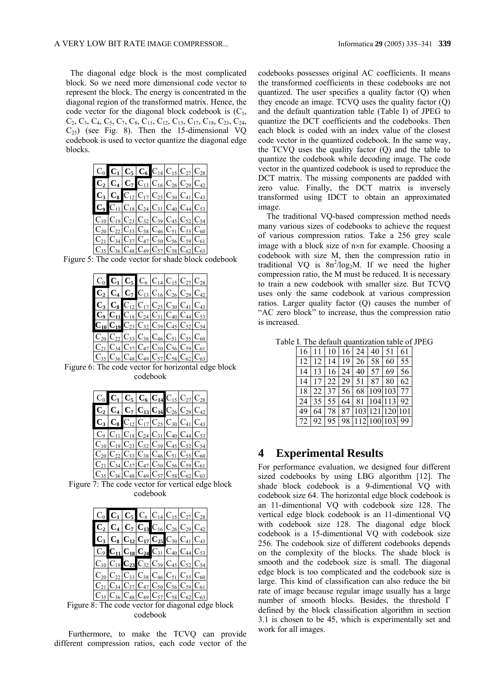The diagonal edge block is the most complicated block. So we need more dimensional code vector to represent the block. The energy is concentrated in the diagonal region of the transformed matrix. Hence, the code vector for the diagonal block codebook is  $(C_1,$  $C_2, C_3, C_4, C_5, C_7, C_8, C_{11}, C_{12}, C_{13}, C_{17}, C_{18}, C_{23}, C_{24},$  $C_{25}$ ) (see Fig. 8). Then the 15-dimensional VQ codebook is used to vector quantize the diagonal edge blocks.

| $C_0$ $C_1$ $C_5$ $C_6$ $C_{14}$ $C_{15}$ $C_{27}$ $C_{28}$               |  |  |  |
|---------------------------------------------------------------------------|--|--|--|
| $\overline{C_2}$ $C_4$ $C_7$ $C_{13}$ $C_{16}$ $C_{26}$ $C_{29}$ $C_{42}$ |  |  |  |
| $C_3$ $C_8$ $C_{12}$ $C_{17}$ $C_{25}$ $C_{30}$ $C_{41}$ $C_{43}$         |  |  |  |
| $C_9$ $C_{11}$ $C_{18}$ $C_{24}$ $C_{31}$ $C_{40}$ $C_{44}$ $C_{53}$      |  |  |  |
| $C_{10} C_{19} C_{23} C_{32} C_{39} C_{45} C_{52} C_{54}$                 |  |  |  |
| $ C_{20} C_{22} C_{33} C_{38} C_{46} C_{51} C_{55} C_{60}$                |  |  |  |
| $ C_{21} C_{34} C_{37} C_{47} C_{50} C_{56} C_{59} C_{61}$                |  |  |  |
| $ C_{35} C_{36} C_{48} C_{49} C_{57} C_{58} C_{62} C_{63}$                |  |  |  |

Figure 5: The code vector for shade block codebook

|  |  | $C_0$ $C_1$ $C_5$ $C_6$ $C_{14}$ $C_{15}$ $C_{27}$ $C_{28}$         |  |
|--|--|---------------------------------------------------------------------|--|
|  |  | $\overline{C_2}C_4C_7C_{13}C_{16}C_{26}C_{29}C_{42}$                |  |
|  |  | $C_3   C_8   C_{12}   C_{17}   C_{25}   C_{30}   C_{41}   C_{43}  $ |  |
|  |  | $C_9 C_{11} C_{18} C_{24} C_{31} C_{40} C_{44} C_{53} $             |  |
|  |  | $C_{10}C_{19}C_{23}C_{32}C_{39}C_{45}C_{52}C_{54}$                  |  |
|  |  | $C_{20}C_{22}C_{33}C_{38}C_{46}C_{51}C_{55}C_{60}$                  |  |
|  |  | $C_{21} C_{34} C_{37} C_{47} C_{50} C_{56} C_{59} C_{61} $          |  |
|  |  | $C_{35} C_{36} C_{48} C_{49} C_{57} C_{58} C_{62} C_{63} $          |  |

Figure 6: The code vector for horizontal edge block codebook

|  |  | $C_0$ $C_1$ $C_5$ $C_6$ $C_{14}$ $C_{15}$ $C_{27}$ $C_{28}$               |  |
|--|--|---------------------------------------------------------------------------|--|
|  |  | $\overline{C_2}$ $C_4$ $C_7$ $C_{13}$ $C_{16}$ $C_{26}$ $C_{29}$ $C_{42}$ |  |
|  |  | $C_3$ $C_8$ $C_{12}$ $C_{17}$ $C_{25}$ $C_{30}$ $C_{41}$ $C_{43}$         |  |
|  |  | $C_9 C_{11} C_{18} C_{24} C_{31} C_{40} C_{44} C_{53}$                    |  |
|  |  | $C_{10} C_{19} C_{23} C_{32} C_{39} C_{45} C_{52} C_{54}$                 |  |
|  |  | $C_{20} C_{22} C_{33} C_{38} C_{46} C_{51} C_{55} C_{60}$                 |  |
|  |  | $C_{21}  C_{34}  C_{37}  C_{47}  C_{50}  C_{56}  C_{59}  C_{61}$          |  |
|  |  | $C_{35} C_{36} C_{48} C_{49} C_{57} C_{58} C_{62} C_{63}$                 |  |

Figure 7: The code vector for vertical edge block codebook

|  | $C_0$ $C_1$ $C_5$ $C_6$ $C_{14}$ $C_{15}$ $C_{27}$ $C_{28}$                                |  |  |  |
|--|--------------------------------------------------------------------------------------------|--|--|--|
|  | $\overline{C_2}$ $C_4$ $C_7$ $\overline{C_{13}}$ $C_{16}$ $C_{26}$ $C_{29}$ $C_{42}$       |  |  |  |
|  | $C_3  C_8   C_{12}   C_{17}   C_{25}   C_{30}   C_{41}   C_{43}$                           |  |  |  |
|  | $\overline{C_9}$ $C_{11}$ $C_{18}$ $C_{24}$ $\overline{C_{31}}$ $C_{40}$ $C_{44}$ $C_{53}$ |  |  |  |
|  | $C_{10}$ $C_{19}$ $C_{23}$ $C_{32}$ $C_{39}$ $C_{45}$ $C_{52}$ $C_{54}$                    |  |  |  |
|  | $C_{20} C_{22}\overline{ C_{33} }C_{38} C_{46} C_{51} C_{55} C_{60}$                       |  |  |  |
|  | $C_{21}  C_{34}  C_{37}  C_{47}  C_{50}  C_{56}  C_{59}  C_{61}$                           |  |  |  |
|  | $C_{35} C_{36} C_{48} C_{49} C_{57} C_{58} C_{62} C_{63}$                                  |  |  |  |

Figure 8: The code vector for diagonal edge block codebook

Furthermore, to make the TCVQ can provide different compression ratios, each code vector of the codebooks possesses original AC coefficients. It means the transformed coefficients in these codebooks are not quantized. The user specifies a quality factor (Q) when they encode an image. TCVQ uses the quality factor (Q) and the default quantization table (Table I) of JPEG to quantize the DCT coefficients and the codebooks. Then each block is coded with an index value of the closest code vector in the quantized codebook. In the same way, the TCVQ uses the quality factor (Q) and the table to quantize the codebook while decoding image. The code vector in the quantized codebook is used to reproduce the DCT matrix. The missing components are padded with zero value. Finally, the DCT matrix is inversely transformed using IDCT to obtain an approximated image.

The traditional VQ-based compression method needs many various sizes of codebooks to achieve the request of various compression ratios. Take a 256 grey scale image with a block size of n×n for example. Choosing a codebook with size M, then the compression ratio in traditional VQ is  $8n^2/log_2M$ . If we need the higher compression ratio, the M must be reduced. It is necessary to train a new codebook with smaller size. But TCVQ uses only the same codebook at various compression ratios. Larger quality factor (Q) causes the number of "AC zero block" to increase, thus the compression ratio is increased.

| Table I. The default quantization table of JPEG |  |  |  |  |  |  |  |
|-------------------------------------------------|--|--|--|--|--|--|--|
|                                                 |  |  |  |  |  |  |  |

|  |  | 16   11   10   16   24   40   51   61     |  |
|--|--|-------------------------------------------|--|
|  |  | $12$  12 14 19 26 58 60 55                |  |
|  |  | 14   13   16   24   40   57   69   56     |  |
|  |  | 14   17   22   29   51   87   80   62     |  |
|  |  | 18 22 37 56 68 109 103 77                 |  |
|  |  | 24 35 55 64 81 104 113 92                 |  |
|  |  | 49   64   78   87   103   121   120   101 |  |
|  |  | 72   92   95   98   112   100   103   99  |  |

### **4 Experimental Results**

For performance evaluation, we designed four different sized codebooks by using LBG algorithm [12]. The shade block codebook is a 9-dimentional VQ with codebook size 64. The horizontal edge block codebook is an 11-dimentional VQ with codebook size 128. The vertical edge block codebook is an 11-dimentional VQ with codebook size 128. The diagonal edge block codebook is a 15-dimentional VQ with codebook size 256. The codebook size of different codebooks depends on the complexity of the blocks. The shade block is smooth and the codebook size is small. The diagonal edge block is too complicated and the codebook size is large. This kind of classification can also reduce the bit rate of image because regular image usually has a large number of smooth blocks. Besides, the threshold Γ defined by the block classification algorithm in section 3.1 is chosen to be 45, which is experimentally set and work for all images.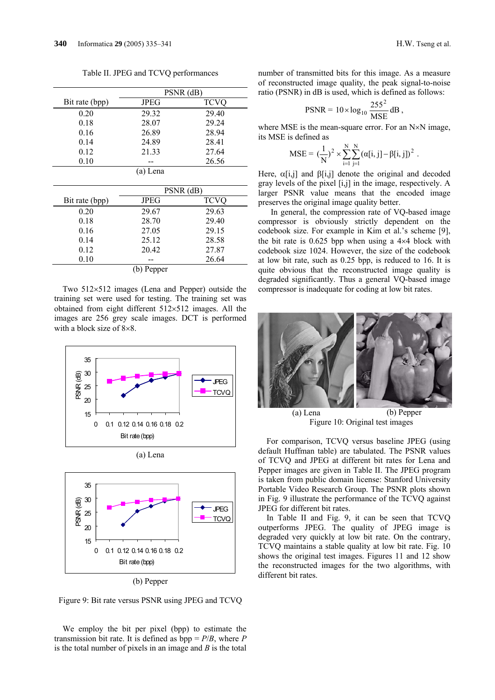Table II. JPEG and TCVQ performances

|                |             | PSNR (dB)   |
|----------------|-------------|-------------|
| Bit rate (bpp) | <b>JPEG</b> | <b>TCVO</b> |
| 0.20           | 29.32       | 29.40       |
| 0.18           | 28.07       | 29.24       |
| 0.16           | 26.89       | 28.94       |
| 0.14           | 24.89       | 28.41       |
| 0.12           | 21.33       | 27.64       |
| 0.10           |             | 26.56       |
|                | (a) Lena    |             |
|                |             |             |
|                |             |             |
|                |             | PSNR (dB)   |
| Bit rate (bpp) | JPEG        | <b>TCVO</b> |
| 0.20           | 29.67       | 29.63       |
| 0.18           | 28.70       | 29.40       |
| 0.16           | 27.05       | 29.15       |
| 0.14           | 25.12       | 28.58       |
| 0.12           | 20.42       | 27.87       |
| 0.10           |             | 26.64       |

Two 512×512 images (Lena and Pepper) outside the training set were used for testing. The training set was obtained from eight different 512×512 images. All the images are 256 grey scale images. DCT is performed with a block size of 8×8.



(b) Pepper

Figure 9: Bit rate versus PSNR using JPEG and TCVQ

We employ the bit per pixel (bpp) to estimate the transmission bit rate. It is defined as  $bpp = P/B$ , where *P* is the total number of pixels in an image and *B* is the total number of transmitted bits for this image. As a measure of reconstructed image quality, the peak signal-to-noise ratio (PSNR) in dB is used, which is defined as follows:

$$
PSNR = 10 \times \log_{10} \frac{255^2}{MSE} dB,
$$

where MSE is the mean-square error. For an N×N image, its MSE is defined as

$$
MSE = (\frac{1}{N})^2 \times \sum_{i=1}^{N} \sum_{j=1}^{N} (\alpha[i, j] - \beta[i, j])^2.
$$

Here,  $\alpha[i,j]$  and  $\beta[i,j]$  denote the original and decoded gray levels of the pixel [i,j] in the image, respectively. A larger PSNR value means that the encoded image preserves the original image quality better.

 In general, the compression rate of VQ-based image compressor is obviously strictly dependent on the codebook size. For example in Kim et al.'s scheme [9], the bit rate is  $0.625$  bpp when using a  $4\times4$  block with codebook size 1024. However, the size of the codebook at low bit rate, such as 0.25 bpp, is reduced to 16. It is quite obvious that the reconstructed image quality is degraded significantly. Thus a general VQ-based image compressor is inadequate for coding at low bit rates.



Figure 10: Original test images

For comparison, TCVQ versus baseline JPEG (using default Huffman table) are tabulated. The PSNR values of TCVQ and JPEG at different bit rates for Lena and Pepper images are given in Table II. The JPEG program is taken from public domain license: Stanford University Portable Video Research Group. The PSNR plots shown in Fig. 9 illustrate the performance of the TCVQ against JPEG for different bit rates.

In Table II and Fig. 9, it can be seen that TCVQ outperforms JPEG. The quality of JPEG image is degraded very quickly at low bit rate. On the contrary, TCVQ maintains a stable quality at low bit rate. Fig. 10 shows the original test images. Figures 11 and 12 show the reconstructed images for the two algorithms, with different bit rates.